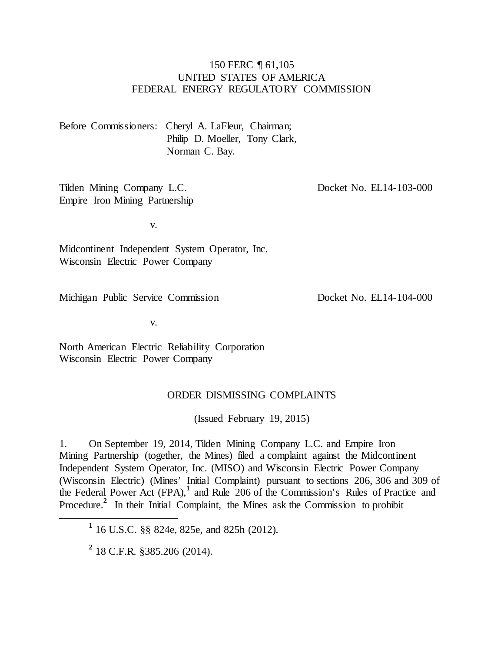### 150 FERC ¶ 61,105 UNITED STATES OF AMERICA FEDERAL ENERGY REGULATORY COMMISSION

Before Commissioners: Cheryl A. LaFleur, Chairman; Philip D. Moeller, Tony Clark, Norman C. Bay.

Tilden Mining Company L.C. Empire Iron Mining Partnership Docket No. EL14-103-000

v.

Midcontinent Independent System Operator, Inc. Wisconsin Electric Power Company

Michigan Public Service Commission

Docket No. EL14-104-000

v.

North American Electric Reliability Corporation Wisconsin Electric Power Company

#### ORDER DISMISSING COMPLAINTS

(Issued February 19, 2015)

1. On September 19, 2014, Tilden Mining Company L.C. and Empire Iron Mining Partnership (together, the Mines) filed a complaint against the Midcontinent Independent System Operator, Inc. (MISO) and Wisconsin Electric Power Company (Wisconsin Electric) (Mines' Initial Complaint) pursuant to sections 206, 306 and 309 of the Federal Power Act (FPA),**<sup>1</sup>** and Rule 206 of the Commission's Rules of Practice and Procedure.<sup>2</sup> In their Initial Complaint, the Mines ask the Commission to prohibit

**<sup>1</sup>** 16 U.S.C. §§ 824e, 825e, and 825h (2012).

**<sup>2</sup>** 18 C.F.R. §385.206 (2014).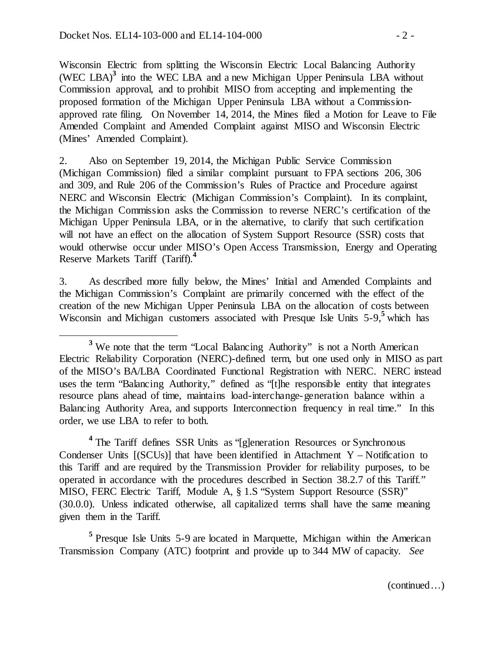Wisconsin Electric from splitting the Wisconsin Electric Local Balancing Authority (WEC LBA)**<sup>3</sup>** into the WEC LBA and a new Michigan Upper Peninsula LBA without Commission approval, and to prohibit MISO from accepting and implementing the proposed formation of the Michigan Upper Peninsula LBA without a Commissionapproved rate filing. On November 14, 2014, the Mines filed a Motion for Leave to File Amended Complaint and Amended Complaint against MISO and Wisconsin Electric (Mines' Amended Complaint).

2. Also on September 19, 2014, the Michigan Public Service Commission (Michigan Commission) filed a similar complaint pursuant to FPA sections 206, 306 and 309, and Rule 206 of the Commission's Rules of Practice and Procedure against NERC and Wisconsin Electric (Michigan Commission's Complaint). In its complaint, the Michigan Commission asks the Commission to reverse NERC's certification of the Michigan Upper Peninsula LBA, or in the alternative, to clarify that such certification will not have an effect on the allocation of System Support Resource (SSR) costs that would otherwise occur under MISO's Open Access Transmission, Energy and Operating Reserve Markets Tariff (Tariff).**<sup>4</sup>**

3. As described more fully below, the Mines' Initial and Amended Complaints and the Michigan Commission's Complaint are primarily concerned with the effect of the creation of the new Michigan Upper Peninsula LBA on the allocation of costs between Wisconsin and Michigan customers associated with Presque Isle Units 5-9,<sup>5</sup> which has

<sup>4</sup> The Tariff defines SSR Units as "[g]eneration Resources or Synchronous Condenser Units  $[(SCUs)]$  that have been identified in Attachment Y – Notification to this Tariff and are required by the Transmission Provider for reliability purposes, to be operated in accordance with the procedures described in Section 38.2.7 of this Tariff." MISO, FERC Electric Tariff, Module A, § 1.S "System Support Resource (SSR)" (30.0.0). Unless indicated otherwise, all capitalized terms shall have the same meaning given them in the Tariff.

**<sup>5</sup>** Presque Isle Units 5-9 are located in Marquette, Michigan within the American Transmission Company (ATC) footprint and provide up to 344 MW of capacity. *See*

<sup>&</sup>lt;sup>3</sup> We note that the term "Local Balancing Authority" is not a North American Electric Reliability Corporation (NERC)-defined term, but one used only in MISO as part of the MISO's BA/LBA Coordinated Functional Registration with NERC. NERC instead uses the term "Balancing Authority," defined as "[t]he responsible entity that integrates resource plans ahead of time, maintains load-interchange-generation balance within a Balancing Authority Area, and supports Interconnection frequency in real time." In this order, we use LBA to refer to both.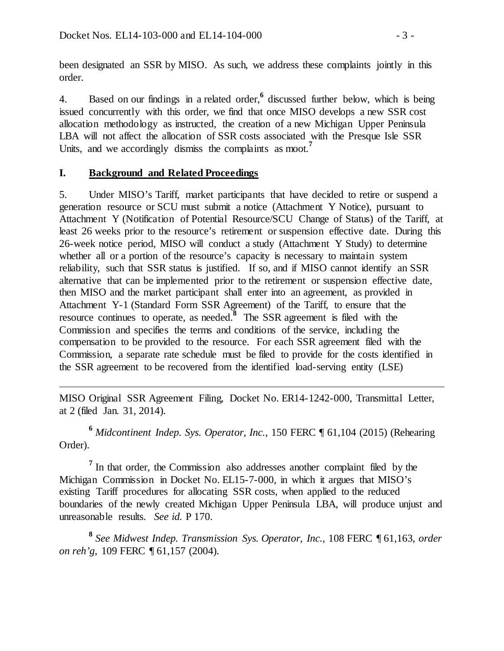been designated an SSR by MISO. As such, we address these complaints jointly in this order.

4. Based on our findings in a related order,**<sup>6</sup>** discussed further below, which is being issued concurrently with this order, we find that once MISO develops a new SSR cost allocation methodology as instructed, the creation of a new Michigan Upper Peninsula LBA will not affect the allocation of SSR costs associated with the Presque Isle SSR Units, and we accordingly dismiss the complaints as moot.**<sup>7</sup>**

## **I. Background and Related Proceedings**

 $\overline{a}$ 

5. Under MISO's Tariff, market participants that have decided to retire or suspend a generation resource or SCU must submit a notice (Attachment Y Notice), pursuant to Attachment Y (Notification of Potential Resource/SCU Change of Status) of the Tariff, at least 26 weeks prior to the resource's retirement or suspension effective date. During this 26-week notice period, MISO will conduct a study (Attachment Y Study) to determine whether all or a portion of the resource's capacity is necessary to maintain system reliability, such that SSR status is justified. If so, and if MISO cannot identify an SSR alternative that can be implemented prior to the retirement or suspension effective date, then MISO and the market participant shall enter into an agreement, as provided in Attachment Y-1 (Standard Form SSR Agreement) of the Tariff, to ensure that the resource continues to operate, as needed.**<sup>8</sup>** The SSR agreement is filed with the Commission and specifies the terms and conditions of the service, including the compensation to be provided to the resource. For each SSR agreement filed with the Commission, a separate rate schedule must be filed to provide for the costs identified in the SSR agreement to be recovered from the identified load-serving entity (LSE)

MISO Original SSR Agreement Filing, Docket No. ER14-1242-000, Transmittal Letter, at 2 (filed Jan. 31, 2014).

**<sup>6</sup>** *Midcontinent Indep. Sys. Operator, Inc.*, 150 FERC ¶ 61,104 (2015) (Rehearing Order).

<sup>7</sup> In that order, the Commission also addresses another complaint filed by the Michigan Commission in Docket No. EL15-7-000, in which it argues that MISO's existing Tariff procedures for allocating SSR costs, when applied to the reduced boundaries of the newly created Michigan Upper Peninsula LBA, will produce unjust and unreasonable results. *See id.* P 170.

**<sup>8</sup>** *See Midwest Indep. Transmission Sys. Operator, Inc.*, 108 FERC ¶ 61,163, *order on reh'g*, 109 FERC ¶ 61,157 (2004).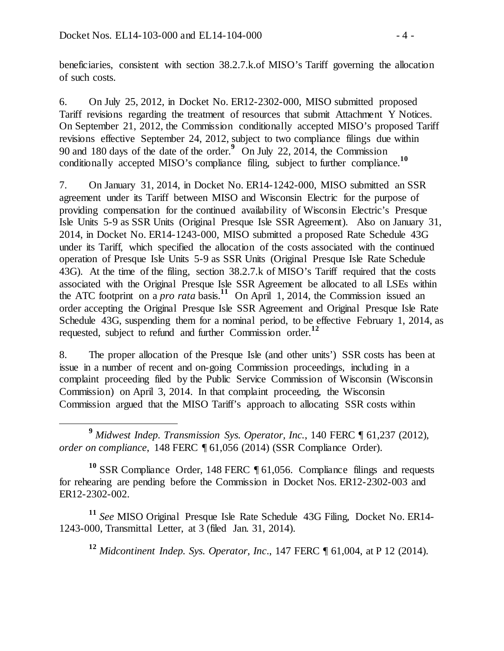beneficiaries, consistent with section 38.2.7.k.of MISO's Tariff governing the allocation of such costs.

6. On July 25, 2012, in Docket No. ER12-2302-000, MISO submitted proposed Tariff revisions regarding the treatment of resources that submit Attachment Y Notices. On September 21, 2012, the Commission conditionally accepted MISO's proposed Tariff revisions effective September 24, 2012, subject to two compliance filings due within 90 and 180 days of the date of the order.**<sup>9</sup>** On July 22, 2014, the Commission conditionally accepted MISO's compliance filing, subject to further compliance.**<sup>10</sup>**

7. On January 31, 2014, in Docket No. ER14-1242-000, MISO submitted an SSR agreement under its Tariff between MISO and Wisconsin Electric for the purpose of providing compensation for the continued availability of Wisconsin Electric's Presque Isle Units 5-9 as SSR Units (Original Presque Isle SSR Agreement). Also on January 31, 2014, in Docket No. ER14-1243-000, MISO submitted a proposed Rate Schedule 43G under its Tariff, which specified the allocation of the costs associated with the continued operation of Presque Isle Units 5-9 as SSR Units (Original Presque Isle Rate Schedule 43G). At the time of the filing, section 38.2.7.k of MISO's Tariff required that the costs associated with the Original Presque Isle SSR Agreement be allocated to all LSEs within the ATC footprint on a *pro rata* basis.<sup>11</sup> On April 1, 2014, the Commission issued an order accepting the Original Presque Isle SSR Agreement and Original Presque Isle Rate Schedule 43G, suspending them for a nominal period, to be effective February 1, 2014, as requested, subject to refund and further Commission order.**<sup>12</sup>**

8. The proper allocation of the Presque Isle (and other units') SSR costs has been at issue in a number of recent and on-going Commission proceedings, including in a complaint proceeding filed by the Public Service Commission of Wisconsin (Wisconsin Commission) on April 3, 2014. In that complaint proceeding, the Wisconsin Commission argued that the MISO Tariff's approach to allocating SSR costs within

 **<sup>9</sup>** *Midwest Indep. Transmission Sys. Operator, Inc.*, 140 FERC ¶ 61,237 (2012), *order on compliance*, 148 FERC ¶ 61,056 (2014) (SSR Compliance Order).

**<sup>10</sup>** SSR Compliance Order, 148 FERC ¶ 61,056. Compliance filings and requests for rehearing are pending before the Commission in Docket Nos. ER12-2302-003 and ER12-2302-002.

**<sup>11</sup>** *See* MISO Original Presque Isle Rate Schedule 43G Filing, Docket No. ER14- 1243-000, Transmittal Letter, at 3 (filed Jan. 31, 2014).

**<sup>12</sup>** *Midcontinent Indep. Sys. Operator, Inc*., 147 FERC ¶ 61,004, at P 12 (2014).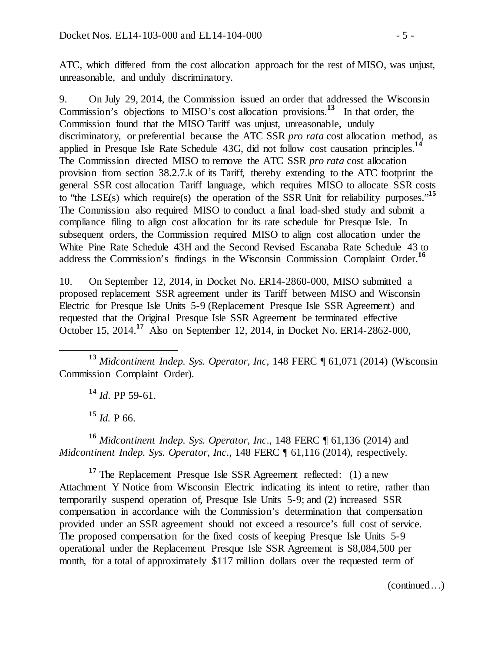ATC, which differed from the cost allocation approach for the rest of MISO, was unjust, unreasonable, and unduly discriminatory.

9. On July 29, 2014, the Commission issued an order that addressed the Wisconsin Commission's objections to MISO's cost allocation provisions.**<sup>13</sup>** In that order, the Commission found that the MISO Tariff was unjust, unreasonable, unduly discriminatory, or preferential because the ATC SSR *pro rata* cost allocation method, as applied in Presque Isle Rate Schedule 43G, did not follow cost causation principles.**<sup>14</sup>** The Commission directed MISO to remove the ATC SSR *pro rata* cost allocation provision from section 38.2.7.k of its Tariff, thereby extending to the ATC footprint the general SSR cost allocation Tariff language, which requires MISO to allocate SSR costs to "the LSE(s) which require(s) the operation of the SSR Unit for reliability purposes."**<sup>15</sup>** The Commission also required MISO to conduct a final load-shed study and submit a compliance filing to align cost allocation for its rate schedule for Presque Isle. In subsequent orders, the Commission required MISO to align cost allocation under the White Pine Rate Schedule 43H and the Second Revised Escanaba Rate Schedule 43 to address the Commission's findings in the Wisconsin Commission Complaint Order. **16**

10. On September 12, 2014, in Docket No. ER14-2860-000, MISO submitted a proposed replacement SSR agreement under its Tariff between MISO and Wisconsin Electric for Presque Isle Units 5-9 (Replacement Presque Isle SSR Agreement) and requested that the Original Presque Isle SSR Agreement be terminated effective October 15, 2014.**<sup>17</sup>** Also on September 12, 2014, in Docket No. ER14-2862-000,

 **<sup>13</sup>** *Midcontinent Indep. Sys. Operator, Inc*, 148 FERC ¶ 61,071 (2014) (Wisconsin Commission Complaint Order).

**<sup>14</sup>** *Id*. PP 59-61.

**<sup>15</sup>** *Id.* P 66.

**<sup>16</sup>** *Midcontinent Indep. Sys. Operator, Inc*., 148 FERC ¶ 61,136 (2014) and *Midcontinent Indep. Sys. Operator, Inc*., 148 FERC ¶ 61,116 (2014), respectively.

<sup>17</sup> The Replacement Presque Isle SSR Agreement reflected: (1) a new Attachment Y Notice from Wisconsin Electric indicating its intent to retire, rather than temporarily suspend operation of, Presque Isle Units 5-9; and (2) increased SSR compensation in accordance with the Commission's determination that compensation provided under an SSR agreement should not exceed a resource's full cost of service. The proposed compensation for the fixed costs of keeping Presque Isle Units 5-9 operational under the Replacement Presque Isle SSR Agreement is \$8,084,500 per month, for a total of approximately \$117 million dollars over the requested term of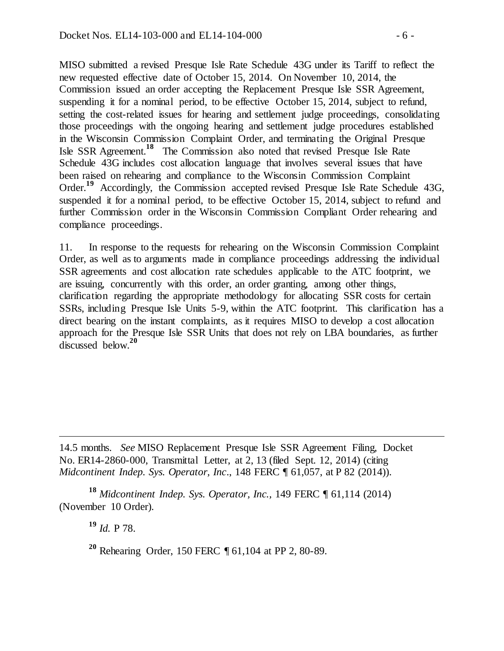MISO submitted a revised Presque Isle Rate Schedule 43G under its Tariff to reflect the new requested effective date of October 15, 2014. On November 10, 2014, the Commission issued an order accepting the Replacement Presque Isle SSR Agreement, suspending it for a nominal period, to be effective October 15, 2014, subject to refund, setting the cost-related issues for hearing and settlement judge proceedings, consolidating those proceedings with the ongoing hearing and settlement judge procedures established in the Wisconsin Commission Complaint Order, and terminating the Original Presque Isle SSR Agreement. **<sup>18</sup>** The Commission also noted that revised Presque Isle Rate Schedule 43G includes cost allocation language that involves several issues that have been raised on rehearing and compliance to the Wisconsin Commission Complaint Order.<sup>19</sup> Accordingly, the Commission accepted revised Presque Isle Rate Schedule 43G, suspended it for a nominal period, to be effective October 15, 2014, subject to refund and further Commission order in the Wisconsin Commission Compliant Order rehearing and compliance proceedings.

11. In response to the requests for rehearing on the Wisconsin Commission Complaint Order, as well as to arguments made in compliance proceedings addressing the individual SSR agreements and cost allocation rate schedules applicable to the ATC footprint, we are issuing, concurrently with this order, an order granting, among other things, clarification regarding the appropriate methodology for allocating SSR costs for certain SSRs, including Presque Isle Units 5-9, within the ATC footprint. This clarification has a direct bearing on the instant complaints, as it requires MISO to develop a cost allocation approach for the Presque Isle SSR Units that does not rely on LBA boundaries, as further discussed below.**<sup>20</sup>**

14.5 months. *See* MISO Replacement Presque Isle SSR Agreement Filing, Docket No. ER14-2860-000, Transmittal Letter, at 2, 13 (filed Sept. 12, 2014) (citing *Midcontinent Indep. Sys. Operator, Inc*., 148 FERC ¶ 61,057, at P 82 (2014)).

**<sup>18</sup>** *Midcontinent Indep. Sys. Operator, Inc.,* 149 FERC ¶ 61,114 (2014) (November 10 Order).

**<sup>19</sup>** *Id.* P 78.

 $\overline{a}$ 

**<sup>20</sup>** Rehearing Order, 150 FERC ¶ 61,104 at PP 2, 80-89.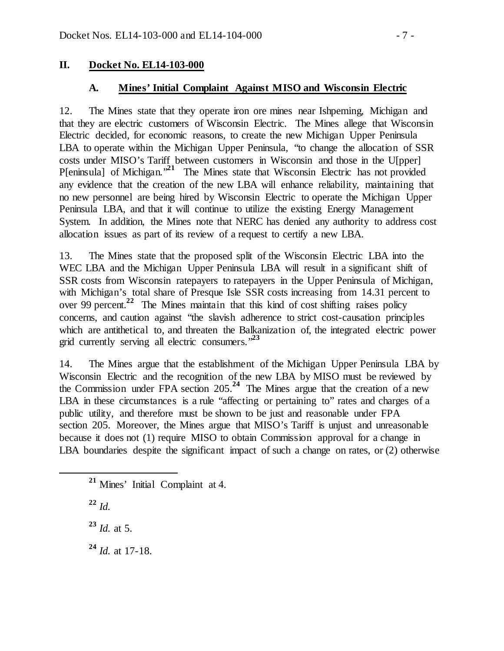## **II. Docket No. EL14-103-000**

### **A. Mines' Initial Complaint Against MISO and Wisconsin Electric**

12. The Mines state that they operate iron ore mines near Ishpeming, Michigan and that they are electric customers of Wisconsin Electric. The Mines allege that Wisconsin Electric decided, for economic reasons, to create the new Michigan Upper Peninsula LBA to operate within the Michigan Upper Peninsula, "to change the allocation of SSR costs under MISO's Tariff between customers in Wisconsin and those in the U[pper] P[eninsula] of Michigan."**<sup>21</sup>** The Mines state that Wisconsin Electric has not provided any evidence that the creation of the new LBA will enhance reliability, maintaining that no new personnel are being hired by Wisconsin Electric to operate the Michigan Upper Peninsula LBA, and that it will continue to utilize the existing Energy Management System. In addition, the Mines note that NERC has denied any authority to address cost allocation issues as part of its review of a request to certify a new LBA.

13. The Mines state that the proposed split of the Wisconsin Electric LBA into the WEC LBA and the Michigan Upper Peninsula LBA will result in a significant shift of SSR costs from Wisconsin ratepayers to ratepayers in the Upper Peninsula of Michigan, with Michigan's total share of Presque Isle SSR costs increasing from 14.31 percent to over 99 percent.<sup>22</sup> The Mines maintain that this kind of cost shifting raises policy concerns, and caution against "the slavish adherence to strict cost-causation principles which are antithetical to, and threaten the Balkanization of, the integrated electric power grid currently serving all electric consumers."**<sup>23</sup>**

14. The Mines argue that the establishment of the Michigan Upper Peninsula LBA by Wisconsin Electric and the recognition of the new LBA by MISO must be reviewed by the Commission under FPA section  $205.<sup>24</sup>$  The Mines argue that the creation of a new LBA in these circumstances is a rule "affecting or pertaining to" rates and charges of a public utility, and therefore must be shown to be just and reasonable under FPA section 205. Moreover, the Mines argue that MISO's Tariff is unjust and unreasonable because it does not (1) require MISO to obtain Commission approval for a change in LBA boundaries despite the significant impact of such a change on rates, or (2) otherwise

**<sup>22</sup>** *Id.*

**<sup>23</sup>** *Id.* at 5.

**<sup>24</sup>** *Id.* at 17-18.

**<sup>21</sup>** Mines' Initial Complaint at 4.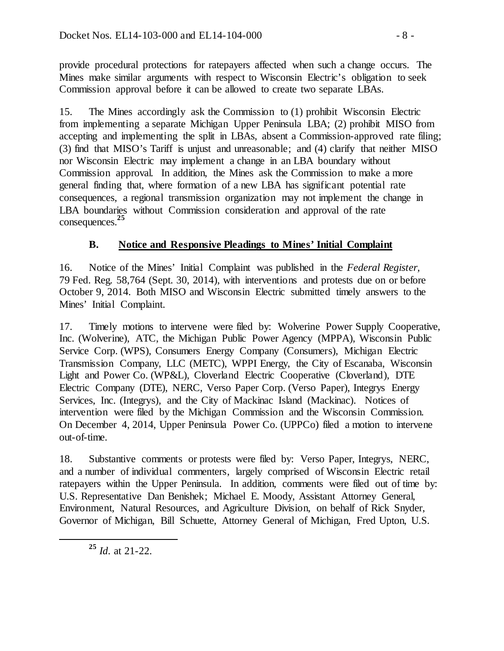provide procedural protections for ratepayers affected when such a change occurs. The Mines make similar arguments with respect to Wisconsin Electric's obligation to seek Commission approval before it can be allowed to create two separate LBAs.

15. The Mines accordingly ask the Commission to (1) prohibit Wisconsin Electric from implementing a separate Michigan Upper Peninsula LBA; (2) prohibit MISO from accepting and implementing the split in LBAs, absent a Commission-approved rate filing; (3) find that MISO's Tariff is unjust and unreasonable; and (4) clarify that neither MISO nor Wisconsin Electric may implement a change in an LBA boundary without Commission approval. In addition, the Mines ask the Commission to make a more general finding that, where formation of a new LBA has significant potential rate consequences, a regional transmission organization may not implement the change in LBA boundaries without Commission consideration and approval of the rate consequences. **25**

## **B. Notice and Responsive Pleadings to Mines' Initial Complaint**

16. Notice of the Mines' Initial Complaint was published in the *Federal Register,*  79 Fed. Reg. 58,764 (Sept. 30, 2014), with interventions and protests due on or before October 9, 2014. Both MISO and Wisconsin Electric submitted timely answers to the Mines' Initial Complaint.

17. Timely motions to intervene were filed by: Wolverine Power Supply Cooperative, Inc. (Wolverine), ATC, the Michigan Public Power Agency (MPPA), Wisconsin Public Service Corp. (WPS), Consumers Energy Company (Consumers), Michigan Electric Transmission Company, LLC (METC), WPPI Energy, the City of Escanaba, Wisconsin Light and Power Co. (WP&L), Cloverland Electric Cooperative (Cloverland), DTE Electric Company (DTE), NERC, Verso Paper Corp. (Verso Paper), Integrys Energy Services, Inc. (Integrys), and the City of Mackinac Island (Mackinac). Notices of intervention were filed by the Michigan Commission and the Wisconsin Commission. On December 4, 2014, Upper Peninsula Power Co. (UPPCo) filed a motion to intervene out-of-time.

18. Substantive comments or protests were filed by: Verso Paper, Integrys, NERC, and a number of individual commenters, largely comprised of Wisconsin Electric retail ratepayers within the Upper Peninsula. In addition, comments were filed out of time by: U.S. Representative Dan Benishek; Michael E. Moody, Assistant Attorney General, Environment, Natural Resources, and Agriculture Division, on behalf of Rick Snyder, Governor of Michigan, Bill Schuette, Attorney General of Michigan, Fred Upton, U.S.

**<sup>25</sup>** *Id*. at 21-22.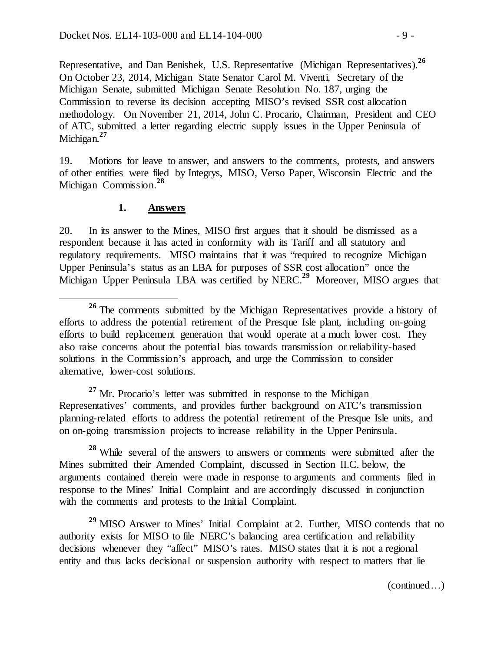Representative, and Dan Benishek, U.S. Representative (Michigan Representatives).**<sup>26</sup>** On October 23, 2014, Michigan State Senator Carol M. Viventi, Secretary of the Michigan Senate, submitted Michigan Senate Resolution No. 187, urging the Commission to reverse its decision accepting MISO's revised SSR cost allocation methodology. On November 21, 2014, John C. Procario, Chairman, President and CEO of ATC, submitted a letter regarding electric supply issues in the Upper Peninsula of Michigan.**<sup>27</sup>**

19. Motions for leave to answer, and answers to the comments, protests, and answers of other entities were filed by Integrys, MISO, Verso Paper, Wisconsin Electric and the Michigan Commission.**<sup>28</sup>**

#### **1. Answers**

20. In its answer to the Mines, MISO first argues that it should be dismissed as a respondent because it has acted in conformity with its Tariff and all statutory and regulatory requirements. MISO maintains that it was "required to recognize Michigan Upper Peninsula's status as an LBA for purposes of SSR cost allocation" once the Michigan Upper Peninsula LBA was certified by NERC.**<sup>29</sup>** Moreover, MISO argues that

<sup>27</sup> Mr. Procario's letter was submitted in response to the Michigan Representatives' comments, and provides further background on ATC's transmission planning-related efforts to address the potential retirement of the Presque Isle units, and on on-going transmission projects to increase reliability in the Upper Peninsula.

**<sup>28</sup>** While several of the answers to answers or comments were submitted after the Mines submitted their Amended Complaint, discussed in Section II.C. below, the arguments contained therein were made in response to arguments and comments filed in response to the Mines' Initial Complaint and are accordingly discussed in conjunction with the comments and protests to the Initial Complaint.

**<sup>29</sup>** MISO Answer to Mines' Initial Complaint at 2. Further, MISO contends that no authority exists for MISO to file NERC's balancing area certification and reliability decisions whenever they "affect" MISO's rates. MISO states that it is not a regional entity and thus lacks decisional or suspension authority with respect to matters that lie

**<sup>26</sup>** The comments submitted by the Michigan Representatives provide a history of efforts to address the potential retirement of the Presque Isle plant, including on-going efforts to build replacement generation that would operate at a much lower cost. They also raise concerns about the potential bias towards transmission or reliability-based solutions in the Commission's approach, and urge the Commission to consider alternative, lower-cost solutions.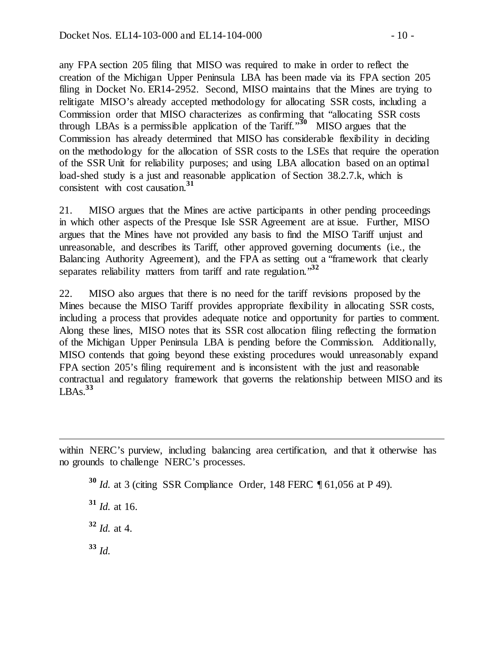any FPA section 205 filing that MISO was required to make in order to reflect the creation of the Michigan Upper Peninsula LBA has been made via its FPA section 205 filing in Docket No. ER14-2952. Second, MISO maintains that the Mines are trying to relitigate MISO's already accepted methodology for allocating SSR costs, including a Commission order that MISO characterizes as confirming that "allocating SSR costs through LBAs is a permissible application of the Tariff."**<sup>30</sup>** MISO argues that the Commission has already determined that MISO has considerable flexibility in deciding on the methodology for the allocation of SSR costs to the LSEs that require the operation of the SSR Unit for reliability purposes; and using LBA allocation based on an optimal load-shed study is a just and reasonable application of Section 38.2.7.k, which is consistent with cost causation.**<sup>31</sup>**

21. MISO argues that the Mines are active participants in other pending proceedings in which other aspects of the Presque Isle SSR Agreement are at issue. Further, MISO argues that the Mines have not provided any basis to find the MISO Tariff unjust and unreasonable, and describes its Tariff, other approved governing documents (i.e*.,* the Balancing Authority Agreement), and the FPA as setting out a "framework that clearly separates reliability matters from tariff and rate regulation.<sup>32</sup>

22. MISO also argues that there is no need for the tariff revisions proposed by the Mines because the MISO Tariff provides appropriate flexibility in allocating SSR costs, including a process that provides adequate notice and opportunity for parties to comment. Along these lines, MISO notes that its SSR cost allocation filing reflecting the formation of the Michigan Upper Peninsula LBA is pending before the Commission. Additionally, MISO contends that going beyond these existing procedures would unreasonably expand FPA section 205's filing requirement and is inconsistent with the just and reasonable contractual and regulatory framework that governs the relationship between MISO and its  $LBAs.<sup>33</sup>$ 

**<sup>30</sup>** *Id.* at 3 (citing SSR Compliance Order*,* 148 FERC ¶ 61,056 at P 49).

**<sup>31</sup>** *Id.* at 16.

**<sup>32</sup>** *Id.* at 4.

**<sup>33</sup>** *Id.*

 $\overline{a}$ 

within NERC's purview, including balancing area certification, and that it otherwise has no grounds to challenge NERC's processes.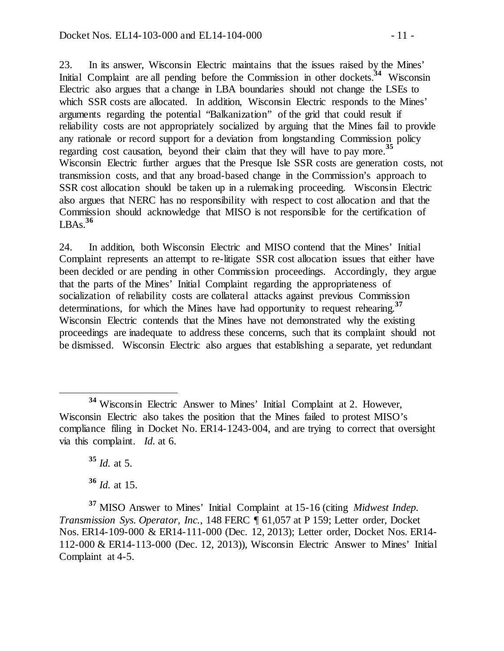23. In its answer, Wisconsin Electric maintains that the issues raised by the Mines' Initial Complaint are all pending before the Commission in other dockets.<sup>34</sup> Wisconsin Electric also argues that a change in LBA boundaries should not change the LSEs to which SSR costs are allocated. In addition, Wisconsin Electric responds to the Mines' arguments regarding the potential "Balkanization" of the grid that could result if reliability costs are not appropriately socialized by arguing that the Mines fail to provide any rationale or record support for a deviation from longstanding Commission policy regarding cost causation, beyond their claim that they will have to pay more.**<sup>35</sup>** Wisconsin Electric further argues that the Presque Isle SSR costs are generation costs, not transmission costs, and that any broad-based change in the Commission's approach to SSR cost allocation should be taken up in a rulemaking proceeding. Wisconsin Electric also argues that NERC has no responsibility with respect to cost allocation and that the Commission should acknowledge that MISO is not responsible for the certification of LBAs. **36**

24. In addition, both Wisconsin Electric and MISO contend that the Mines' Initial Complaint represents an attempt to re-litigate SSR cost allocation issues that either have been decided or are pending in other Commission proceedings. Accordingly, they argue that the parts of the Mines' Initial Complaint regarding the appropriateness of socialization of reliability costs are collateral attacks against previous Commission determinations, for which the Mines have had opportunity to request rehearing.**<sup>37</sup>** Wisconsin Electric contends that the Mines have not demonstrated why the existing proceedings are inadequate to address these concerns, such that its complaint should not be dismissed. Wisconsin Electric also argues that establishing a separate, yet redundant

**<sup>35</sup>** *Id.* at 5. **<sup>36</sup>** *Id.* at 15.

**<sup>37</sup>** MISO Answer to Mines' Initial Complaint at 15-16 (citing *Midwest Indep. Transmission Sys. Operator, Inc.*, 148 FERC ¶ 61,057 at P 159; Letter order, Docket Nos. ER14-109-000 & ER14-111-000 (Dec. 12, 2013); Letter order, Docket Nos. ER14- 112-000 & ER14-113-000 (Dec. 12, 2013)), Wisconsin Electric Answer to Mines' Initial Complaint at 4-5.

**<sup>34</sup>** Wisconsin Electric Answer to Mines' Initial Complaint at 2. However, Wisconsin Electric also takes the position that the Mines failed to protest MISO's compliance filing in Docket No. ER14-1243-004, and are trying to correct that oversight via this complaint. *Id.* at 6.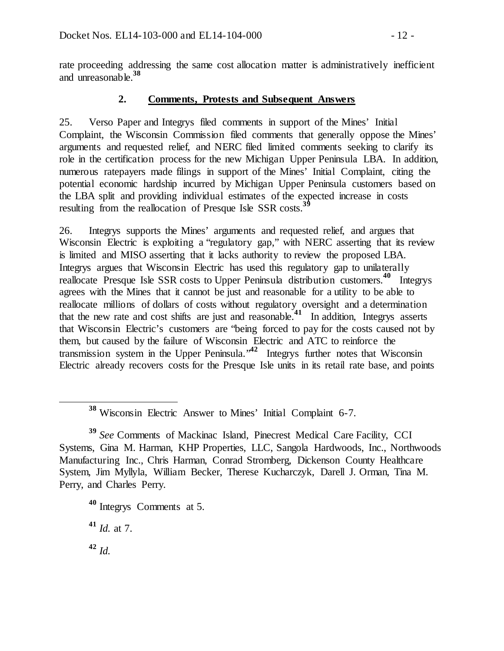rate proceeding addressing the same cost allocation matter is administratively inefficient and unreasonable. **38**

## **2. Comments, Protests and Subsequent Answers**

25. Verso Paper and Integrys filed comments in support of the Mines' Initial Complaint, the Wisconsin Commission filed comments that generally oppose the Mines' arguments and requested relief, and NERC filed limited comments seeking to clarify its role in the certification process for the new Michigan Upper Peninsula LBA. In addition, numerous ratepayers made filings in support of the Mines' Initial Complaint, citing the potential economic hardship incurred by Michigan Upper Peninsula customers based on the LBA split and providing individual estimates of the expected increase in costs resulting from the reallocation of Presque Isle SSR costs.<sup>39</sup>

26. Integrys supports the Mines' arguments and requested relief, and argues that Wisconsin Electric is exploiting a "regulatory gap," with NERC asserting that its review is limited and MISO asserting that it lacks authority to review the proposed LBA. Integrys argues that Wisconsin Electric has used this regulatory gap to unilaterally reallocate Presque Isle SSR costs to Upper Peninsula distribution customers.**<sup>40</sup>** Integrys agrees with the Mines that it cannot be just and reasonable for a utility to be able to reallocate millions of dollars of costs without regulatory oversight and a determination that the new rate and cost shifts are just and reasonable.**<sup>41</sup>** In addition, Integrys asserts that Wisconsin Electric's customers are "being forced to pay for the costs caused not by them, but caused by the failure of Wisconsin Electric and ATC to reinforce the transmission system in the Upper Peninsula."**<sup>42</sup>** Integrys further notes that Wisconsin Electric already recovers costs for the Presque Isle units in its retail rate base, and points

**<sup>41</sup>** *Id.* at 7.

**<sup>38</sup>** Wisconsin Electric Answer to Mines' Initial Complaint 6-7.

**<sup>39</sup>** *See* Comments of Mackinac Island, Pinecrest Medical Care Facility, CCI Systems, Gina M. Harman, KHP Properties, LLC, Sangola Hardwoods, Inc., Northwoods Manufacturing Inc., Chris Harman, Conrad Stromberg, Dickenson County Healthcare System, Jim Myllyla, William Becker, Therese Kucharczyk, Darell J. Orman, Tina M. Perry, and Charles Perry.

**<sup>40</sup>** Integrys Comments at 5.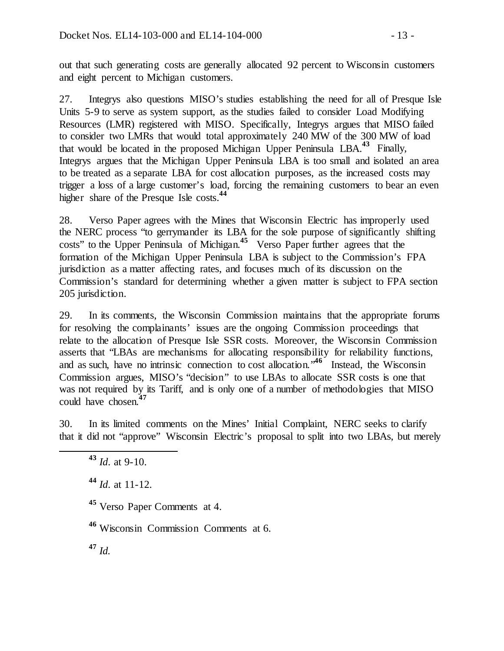out that such generating costs are generally allocated 92 percent to Wisconsin customers and eight percent to Michigan customers.

27. Integrys also questions MISO's studies establishing the need for all of Presque Isle Units 5-9 to serve as system support, as the studies failed to consider Load Modifying Resources (LMR) registered with MISO. Specifically, Integrys argues that MISO failed to consider two LMRs that would total approximately 240 MW of the 300 MW of load that would be located in the proposed Michigan Upper Peninsula LBA.**<sup>43</sup>** Finally, Integrys argues that the Michigan Upper Peninsula LBA is too small and isolated an area to be treated as a separate LBA for cost allocation purposes, as the increased costs may trigger a loss of a large customer's load, forcing the remaining customers to bear an even higher share of the Presque Isle costs. **44**

28. Verso Paper agrees with the Mines that Wisconsin Electric has improperly used the NERC process "to gerrymander its LBA for the sole purpose of significantly shifting costs" to the Upper Peninsula of Michigan.**<sup>45</sup>** Verso Paper further agrees that the formation of the Michigan Upper Peninsula LBA is subject to the Commission's FPA jurisdiction as a matter affecting rates, and focuses much of its discussion on the Commission's standard for determining whether a given matter is subject to FPA section 205 jurisdiction.

29. In its comments, the Wisconsin Commission maintains that the appropriate forums for resolving the complainants' issues are the ongoing Commission proceedings that relate to the allocation of Presque Isle SSR costs. Moreover, the Wisconsin Commission asserts that "LBAs are mechanisms for allocating responsibility for reliability functions, and as such, have no intrinsic connection to cost allocation.<sup>46</sup> Instead, the Wisconsin Commission argues, MISO's "decision" to use LBAs to allocate SSR costs is one that was not required by its Tariff, and is only one of a number of methodologies that MISO could have chosen.**<sup>47</sup>**

30. In its limited comments on the Mines' Initial Complaint, NERC seeks to clarify that it did not "approve" Wisconsin Electric's proposal to split into two LBAs, but merely

**<sup>43</sup>** *Id*. at 9-10.

**<sup>44</sup>** *Id*. at 11-12.

**<sup>45</sup>** Verso Paper Comments at 4.

**<sup>46</sup>** Wisconsin Commission Comments at 6.

**<sup>47</sup>** *Id.*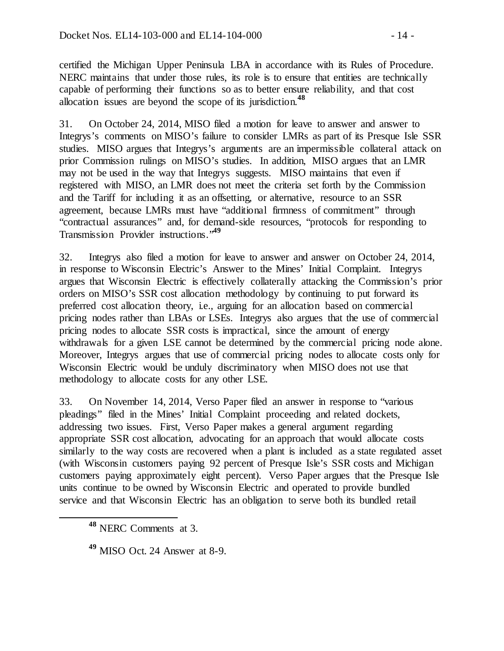certified the Michigan Upper Peninsula LBA in accordance with its Rules of Procedure. NERC maintains that under those rules, its role is to ensure that entities are technically capable of performing their functions so as to better ensure reliability, and that cost allocation issues are beyond the scope of its jurisdiction.**<sup>48</sup>**

31. On October 24, 2014, MISO filed a motion for leave to answer and answer to Integrys's comments on MISO's failure to consider LMRs as part of its Presque Isle SSR studies. MISO argues that Integrys's arguments are an impermissible collateral attack on prior Commission rulings on MISO's studies. In addition, MISO argues that an LMR may not be used in the way that Integrys suggests. MISO maintains that even if registered with MISO, an LMR does not meet the criteria set forth by the Commission and the Tariff for including it as an offsetting, or alternative, resource to an SSR agreement, because LMRs must have "additional firmness of commitment" through "contractual assurances" and, for demand-side resources, "protocols for responding to Transmission Provider instructions."**<sup>49</sup>**

32. Integrys also filed a motion for leave to answer and answer on October 24, 2014, in response to Wisconsin Electric's Answer to the Mines' Initial Complaint. Integrys argues that Wisconsin Electric is effectively collaterally attacking the Commission's prior orders on MISO's SSR cost allocation methodology by continuing to put forward its preferred cost allocation theory, i.e.*,* arguing for an allocation based on commercial pricing nodes rather than LBAs or LSEs. Integrys also argues that the use of commercial pricing nodes to allocate SSR costs is impractical, since the amount of energy withdrawals for a given LSE cannot be determined by the commercial pricing node alone. Moreover, Integrys argues that use of commercial pricing nodes to allocate costs only for Wisconsin Electric would be unduly discriminatory when MISO does not use that methodology to allocate costs for any other LSE.

33. On November 14, 2014, Verso Paper filed an answer in response to "various pleadings" filed in the Mines' Initial Complaint proceeding and related dockets, addressing two issues. First, Verso Paper makes a general argument regarding appropriate SSR cost allocation, advocating for an approach that would allocate costs similarly to the way costs are recovered when a plant is included as a state regulated asset (with Wisconsin customers paying 92 percent of Presque Isle's SSR costs and Michigan customers paying approximately eight percent). Verso Paper argues that the Presque Isle units continue to be owned by Wisconsin Electric and operated to provide bundled service and that Wisconsin Electric has an obligation to serve both its bundled retail

**<sup>48</sup>** NERC Comments at 3.

**<sup>49</sup>** MISO Oct. 24 Answer at 8-9.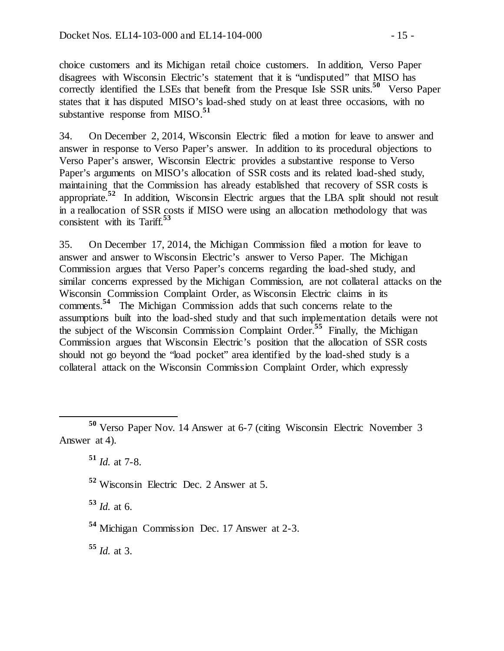choice customers and its Michigan retail choice customers. In addition, Verso Paper disagrees with Wisconsin Electric's statement that it is "undisputed" that MISO has correctly identified the LSEs that benefit from the Presque Isle SSR units.**<sup>50</sup>** Verso Paper states that it has disputed MISO's load-shed study on at least three occasions, with no substantive response from MISO.**<sup>51</sup>**

34. On December 2, 2014, Wisconsin Electric filed a motion for leave to answer and answer in response to Verso Paper's answer. In addition to its procedural objections to Verso Paper's answer, Wisconsin Electric provides a substantive response to Verso Paper's arguments on MISO's allocation of SSR costs and its related load-shed study, maintaining that the Commission has already established that recovery of SSR costs is appropriate.**<sup>52</sup>** In addition, Wisconsin Electric argues that the LBA split should not result in a reallocation of SSR costs if MISO were using an allocation methodology that was consistent with its Tariff.**<sup>53</sup>**

35. On December 17, 2014, the Michigan Commission filed a motion for leave to answer and answer to Wisconsin Electric's answer to Verso Paper. The Michigan Commission argues that Verso Paper's concerns regarding the load-shed study, and similar concerns expressed by the Michigan Commission, are not collateral attacks on the Wisconsin Commission Complaint Order, as Wisconsin Electric claims in its comments.**<sup>54</sup>** The Michigan Commission adds that such concerns relate to the assumptions built into the load-shed study and that such implementation details were not the subject of the Wisconsin Commission Complaint Order. **<sup>55</sup>** Finally, the Michigan Commission argues that Wisconsin Electric's position that the allocation of SSR costs should not go beyond the "load pocket" area identified by the load-shed study is a collateral attack on the Wisconsin Commission Complaint Order, which expressly

**<sup>51</sup>** *Id.* at 7-8.

**<sup>52</sup>** Wisconsin Electric Dec. 2 Answer at 5.

**<sup>53</sup>** *Id.* at 6.

**<sup>54</sup>** Michigan Commission Dec. 17 Answer at 2-3.

**<sup>55</sup>** *Id.* at 3.

**<sup>50</sup>** Verso Paper Nov. 14 Answer at 6-7 (citing Wisconsin Electric November 3 Answer at 4).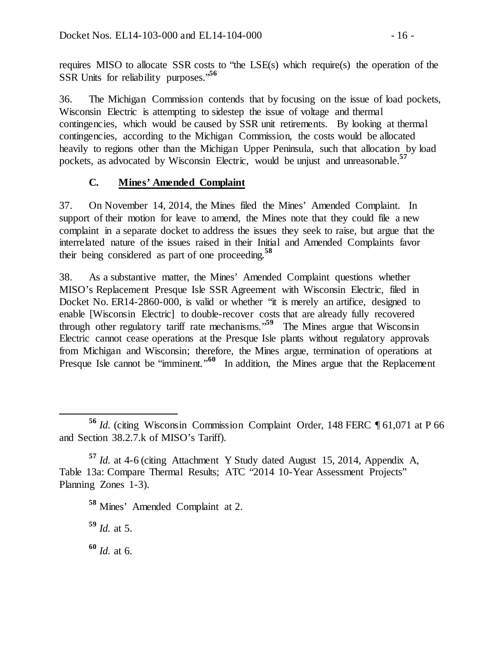requires MISO to allocate SSR costs to "the LSE(s) which require(s) the operation of the SSR Units for reliability purposes."**<sup>56</sup>**

36. The Michigan Commission contends that by focusing on the issue of load pockets, Wisconsin Electric is attempting to sidestep the issue of voltage and thermal contingencies, which would be caused by SSR unit retirements. By looking at thermal contingencies, according to the Michigan Commission, the costs would be allocated heavily to regions other than the Michigan Upper Peninsula, such that allocation by load pockets, as advocated by Wisconsin Electric, would be unjust and unreasonable.**<sup>57</sup>**

## **C. Mines' Amended Complaint**

37. On November 14, 2014, the Mines filed the Mines' Amended Complaint. In support of their motion for leave to amend, the Mines note that they could file a new complaint in a separate docket to address the issues they seek to raise, but argue that the interrelated nature of the issues raised in their Initial and Amended Complaints favor their being considered as part of one proceeding.**<sup>58</sup>**

38. As a substantive matter, the Mines' Amended Complaint questions whether MISO's Replacement Presque Isle SSR Agreement with Wisconsin Electric, filed in Docket No. ER14-2860-000, is valid or whether "it is merely an artifice, designed to enable [Wisconsin Electric] to double-recover costs that are already fully recovered through other regulatory tariff rate mechanisms."**<sup>59</sup>** The Mines argue that Wisconsin Electric cannot cease operations at the Presque Isle plants without regulatory approvals from Michigan and Wisconsin; therefore, the Mines argue, termination of operations at Presque Isle cannot be "imminent."<sup>60</sup> In addition, the Mines argue that the Replacement

**<sup>59</sup>** *Id.* at 5.

**<sup>60</sup>** *Id.* at 6.

**<sup>56</sup>** *Id.* (citing Wisconsin Commission Complaint Order, 148 FERC ¶ 61,071 at P 66 and Section 38.2.7.k of MISO's Tariff).

**<sup>57</sup>** *Id.* at 4-6 (citing Attachment Y Study dated August 15, 2014, Appendix A, Table 13a: Compare Thermal Results; ATC "2014 10-Year Assessment Projects" Planning Zones 1-3).

**<sup>58</sup>** Mines' Amended Complaint at 2.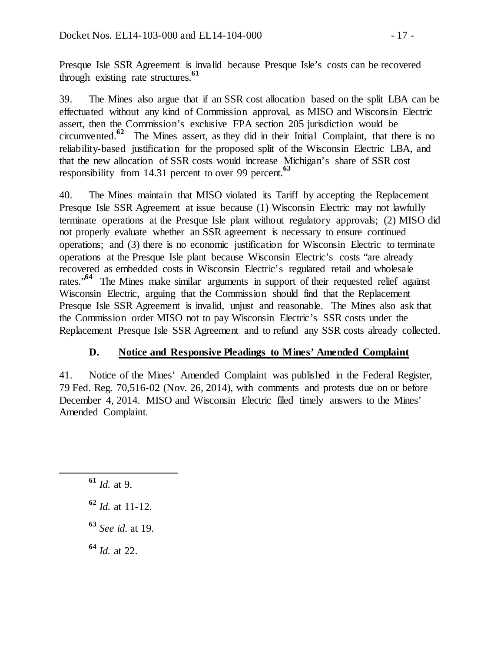Presque Isle SSR Agreement is invalid because Presque Isle's costs can be recovered through existing rate structures.**<sup>61</sup>**

39. The Mines also argue that if an SSR cost allocation based on the split LBA can be effectuated without any kind of Commission approval, as MISO and Wisconsin Electric assert, then the Commission's exclusive FPA section 205 jurisdiction would be circumvented.**<sup>62</sup>** The Mines assert, as they did in their Initial Complaint, that there is no reliability-based justification for the proposed split of the Wisconsin Electric LBA, and that the new allocation of SSR costs would increase Michigan's share of SSR cost responsibility from 14.31 percent to over 99 percent. **63**

40. The Mines maintain that MISO violated its Tariff by accepting the Replacement Presque Isle SSR Agreement at issue because (1) Wisconsin Electric may not lawfully terminate operations at the Presque Isle plant without regulatory approvals; (2) MISO did not properly evaluate whether an SSR agreement is necessary to ensure continued operations; and (3) there is no economic justification for Wisconsin Electric to terminate operations at the Presque Isle plant because Wisconsin Electric's costs "are already recovered as embedded costs in Wisconsin Electric's regulated retail and wholesale rates."**<sup>64</sup>** The Mines make similar arguments in support of their requested relief against Wisconsin Electric, arguing that the Commission should find that the Replacement Presque Isle SSR Agreement is invalid, unjust and reasonable. The Mines also ask that the Commission order MISO not to pay Wisconsin Electric's SSR costs under the Replacement Presque Isle SSR Agreement and to refund any SSR costs already collected.

## **D. Notice and Responsive Pleadings to Mines' Amended Complaint**

41. Notice of the Mines' Amended Complaint was published in the Federal Register, 79 Fed. Reg. 70,516-02 (Nov. 26, 2014), with comments and protests due on or before December 4, 2014. MISO and Wisconsin Electric filed timely answers to the Mines' Amended Complaint.

**<sup>64</sup>** *Id.* at 22.

**<sup>61</sup>** *Id.* at 9.

**<sup>62</sup>** *Id.* at 11-12.

**<sup>63</sup>** *See id.* at 19.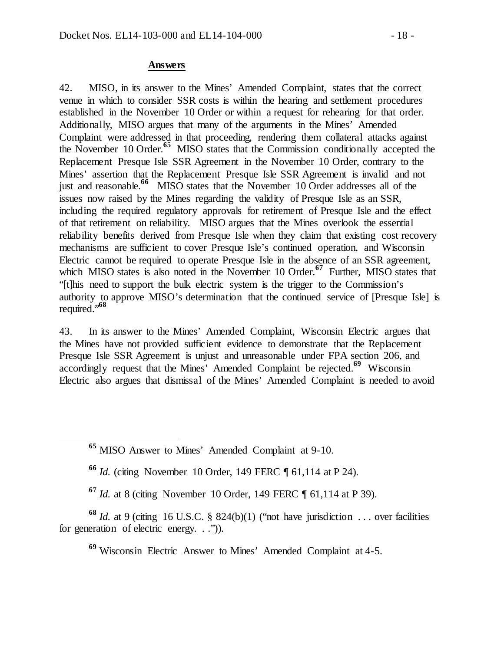#### **Answers**

42. MISO, in its answer to the Mines' Amended Complaint, states that the correct venue in which to consider SSR costs is within the hearing and settlement procedures established in the November 10 Order or within a request for rehearing for that order. Additionally, MISO argues that many of the arguments in the Mines' Amended Complaint were addressed in that proceeding, rendering them collateral attacks against the November 10 Order.**<sup>65</sup>** MISO states that the Commission conditionally accepted the Replacement Presque Isle SSR Agreement in the November 10 Order, contrary to the Mines' assertion that the Replacement Presque Isle SSR Agreement is invalid and not just and reasonable.**<sup>66</sup>** MISO states that the November 10 Order addresses all of the issues now raised by the Mines regarding the validity of Presque Isle as an SSR, including the required regulatory approvals for retirement of Presque Isle and the effect of that retirement on reliability. MISO argues that the Mines overlook the essential reliability benefits derived from Presque Isle when they claim that existing cost recovery mechanisms are sufficient to cover Presque Isle's continued operation, and Wisconsin Electric cannot be required to operate Presque Isle in the absence of an SSR agreement, which MISO states is also noted in the November 10 Order.<sup>67</sup> Further, MISO states that "[t]his need to support the bulk electric system is the trigger to the Commission's authority to approve MISO's determination that the continued service of [Presque Isle] is required."**<sup>68</sup>**

43. In its answer to the Mines' Amended Complaint, Wisconsin Electric argues that the Mines have not provided sufficient evidence to demonstrate that the Replacement Presque Isle SSR Agreement is unjust and unreasonable under FPA section 206, and accordingly request that the Mines' Amended Complaint be rejected.**<sup>69</sup>** Wisconsin Electric also argues that dismissal of the Mines' Amended Complaint is needed to avoid

**<sup>66</sup>** *Id.* (citing November 10 Order, 149 FERC ¶ 61,114 at P 24).

**<sup>67</sup>** *Id.* at 8 (citing November 10 Order, 149 FERC ¶ 61,114 at P 39).

**<sup>68</sup>** *Id.* at 9 (citing 16 U.S.C. § 824(b)(1) ("not have jurisdiction . . . over facilities for generation of electric energy. . .")).

**<sup>69</sup>** Wisconsin Electric Answer to Mines' Amended Complaint at 4-5.

**<sup>65</sup>** MISO Answer to Mines' Amended Complaint at 9-10.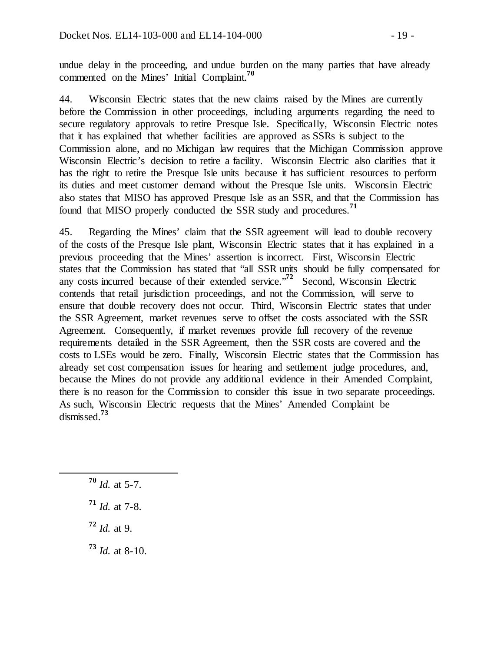undue delay in the proceeding, and undue burden on the many parties that have already commented on the Mines' Initial Complaint.**<sup>70</sup>**

44. Wisconsin Electric states that the new claims raised by the Mines are currently before the Commission in other proceedings, including arguments regarding the need to secure regulatory approvals to retire Presque Isle. Specifically, Wisconsin Electric notes that it has explained that whether facilities are approved as SSRs is subject to the Commission alone, and no Michigan law requires that the Michigan Commission approve Wisconsin Electric's decision to retire a facility. Wisconsin Electric also clarifies that it has the right to retire the Presque Isle units because it has sufficient resources to perform its duties and meet customer demand without the Presque Isle units. Wisconsin Electric also states that MISO has approved Presque Isle as an SSR, and that the Commission has found that MISO properly conducted the SSR study and procedures.**<sup>71</sup>**

45. Regarding the Mines' claim that the SSR agreement will lead to double recovery of the costs of the Presque Isle plant, Wisconsin Electric states that it has explained in a previous proceeding that the Mines' assertion is incorrect. First, Wisconsin Electric states that the Commission has stated that "all SSR units should be fully compensated for any costs incurred because of their extended service."**<sup>72</sup>** Second, Wisconsin Electric contends that retail jurisdiction proceedings, and not the Commission, will serve to ensure that double recovery does not occur. Third, Wisconsin Electric states that under the SSR Agreement, market revenues serve to offset the costs associated with the SSR Agreement. Consequently, if market revenues provide full recovery of the revenue requirements detailed in the SSR Agreement, then the SSR costs are covered and the costs to LSEs would be zero. Finally, Wisconsin Electric states that the Commission has already set cost compensation issues for hearing and settlement judge procedures, and, because the Mines do not provide any additional evidence in their Amended Complaint, there is no reason for the Commission to consider this issue in two separate proceedings. As such, Wisconsin Electric requests that the Mines' Amended Complaint be dismissed.**<sup>73</sup>**

- **<sup>70</sup>** *Id.* at 5-7.
- **<sup>71</sup>** *Id.* at 7-8.
- **<sup>72</sup>** *Id.* at 9.
- **<sup>73</sup>** *Id.* at 8-10.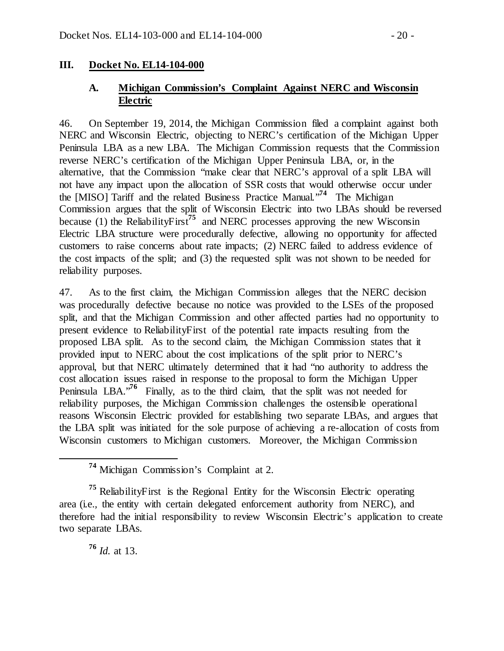#### **III. Docket No. EL14-104-000**

## **A. Michigan Commission's Complaint Against NERC and Wisconsin Electric**

46. On September 19, 2014, the Michigan Commission filed a complaint against both NERC and Wisconsin Electric, objecting to NERC's certification of the Michigan Upper Peninsula LBA as a new LBA. The Michigan Commission requests that the Commission reverse NERC's certification of the Michigan Upper Peninsula LBA, or, in the alternative, that the Commission "make clear that NERC's approval of a split LBA will not have any impact upon the allocation of SSR costs that would otherwise occur under the [MISO] Tariff and the related Business Practice Manual."**<sup>74</sup>** The Michigan Commission argues that the split of Wisconsin Electric into two LBAs should be reversed because (1) the ReliabilityFirst<sup>75</sup> and NERC processes approving the new Wisconsin Electric LBA structure were procedurally defective, allowing no opportunity for affected customers to raise concerns about rate impacts; (2) NERC failed to address evidence of the cost impacts of the split; and (3) the requested split was not shown to be needed for reliability purposes.

47. As to the first claim, the Michigan Commission alleges that the NERC decision was procedurally defective because no notice was provided to the LSEs of the proposed split, and that the Michigan Commission and other affected parties had no opportunity to present evidence to ReliabilityFirst of the potential rate impacts resulting from the proposed LBA split. As to the second claim, the Michigan Commission states that it provided input to NERC about the cost implications of the split prior to NERC's approval, but that NERC ultimately determined that it had "no authority to address the cost allocation issues raised in response to the proposal to form the Michigan Upper Peninsula LBA.<sup>76</sup> Finally, as to the third claim, that the split was not needed for reliability purposes, the Michigan Commission challenges the ostensible operational reasons Wisconsin Electric provided for establishing two separate LBAs, and argues that the LBA split was initiated for the sole purpose of achieving a re-allocation of costs from Wisconsin customers to Michigan customers. Moreover, the Michigan Commission

**<sup>75</sup>** ReliabilityFirst is the Regional Entity for the Wisconsin Electric operating area (i.e.*,* the entity with certain delegated enforcement authority from NERC), and therefore had the initial responsibility to review Wisconsin Electric's application to create two separate LBAs.

**<sup>76</sup>** *Id.* at 13.

**<sup>74</sup>** Michigan Commission's Complaint at 2.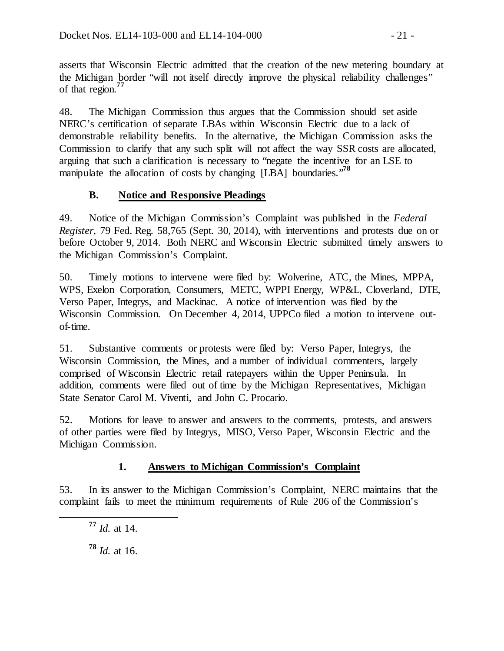asserts that Wisconsin Electric admitted that the creation of the new metering boundary at the Michigan border "will not itself directly improve the physical reliability challenges" of that region.**<sup>77</sup>**

48. The Michigan Commission thus argues that the Commission should set aside NERC's certification of separate LBAs within Wisconsin Electric due to a lack of demonstrable reliability benefits. In the alternative, the Michigan Commission asks the Commission to clarify that any such split will not affect the way SSR costs are allocated, arguing that such a clarification is necessary to "negate the incentive for an LSE to manipulate the allocation of costs by changing [LBA] boundaries."**<sup>78</sup>**

## **B. Notice and Responsive Pleadings**

49. Notice of the Michigan Commission's Complaint was published in the *Federal Register,* 79 Fed. Reg. 58,765 (Sept. 30, 2014), with interventions and protests due on or before October 9, 2014. Both NERC and Wisconsin Electric submitted timely answers to the Michigan Commission's Complaint.

50. Timely motions to intervene were filed by: Wolverine, ATC, the Mines, MPPA, WPS, Exelon Corporation, Consumers, METC, WPPI Energy, WP&L, Cloverland, DTE, Verso Paper, Integrys, and Mackinac. A notice of intervention was filed by the Wisconsin Commission. On December 4, 2014, UPPCo filed a motion to intervene outof-time.

51. Substantive comments or protests were filed by: Verso Paper, Integrys, the Wisconsin Commission, the Mines, and a number of individual commenters, largely comprised of Wisconsin Electric retail ratepayers within the Upper Peninsula. In addition, comments were filed out of time by the Michigan Representatives, Michigan State Senator Carol M. Viventi, and John C. Procario.

52. Motions for leave to answer and answers to the comments, protests, and answers of other parties were filed by Integrys, MISO, Verso Paper, Wisconsin Electric and the Michigan Commission.

# **1. Answers to Michigan Commission's Complaint**

53. In its answer to the Michigan Commission's Complaint, NERC maintains that the complaint fails to meet the minimum requirements of Rule 206 of the Commission's

 **<sup>77</sup>** *Id.* at 14. **<sup>78</sup>** *Id.* at 16.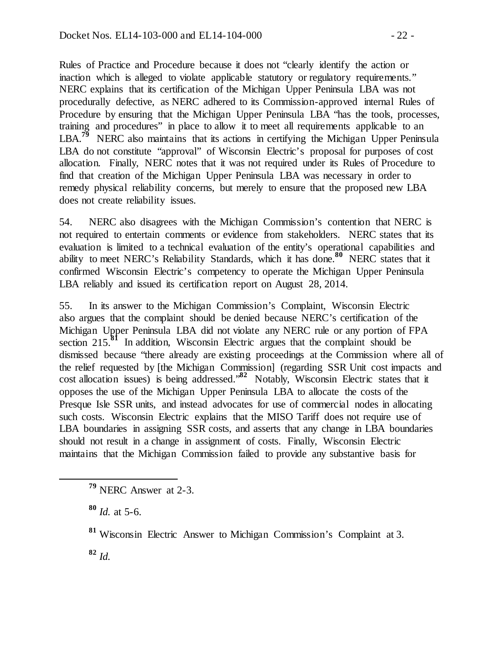Rules of Practice and Procedure because it does not "clearly identify the action or inaction which is alleged to violate applicable statutory or regulatory requirements." NERC explains that its certification of the Michigan Upper Peninsula LBA was not procedurally defective, as NERC adhered to its Commission-approved internal Rules of Procedure by ensuring that the Michigan Upper Peninsula LBA "has the tools, processes, training and procedures" in place to allow it to meet all requirements applicable to an LBA.<sup>79</sup> NERC also maintains that its actions in certifying the Michigan Upper Peninsula LBA do not constitute "approval" of Wisconsin Electric's proposal for purposes of cost allocation. Finally, NERC notes that it was not required under its Rules of Procedure to find that creation of the Michigan Upper Peninsula LBA was necessary in order to remedy physical reliability concerns, but merely to ensure that the proposed new LBA does not create reliability issues.

54. NERC also disagrees with the Michigan Commission's contention that NERC is not required to entertain comments or evidence from stakeholders. NERC states that its evaluation is limited to a technical evaluation of the entity's operational capabilities and ability to meet NERC's Reliability Standards, which it has done.**<sup>80</sup>** NERC states that it confirmed Wisconsin Electric's competency to operate the Michigan Upper Peninsula LBA reliably and issued its certification report on August 28, 2014.

55. In its answer to the Michigan Commission's Complaint, Wisconsin Electric also argues that the complaint should be denied because NERC's certification of the Michigan Upper Peninsula LBA did not violate any NERC rule or any portion of FPA section 215.**<sup>81</sup>** In addition, Wisconsin Electric argues that the complaint should be dismissed because "there already are existing proceedings at the Commission where all of the relief requested by [the Michigan Commission] (regarding SSR Unit cost impacts and cost allocation issues) is being addressed."**<sup>82</sup>** Notably, Wisconsin Electric states that it opposes the use of the Michigan Upper Peninsula LBA to allocate the costs of the Presque Isle SSR units, and instead advocates for use of commercial nodes in allocating such costs. Wisconsin Electric explains that the MISO Tariff does not require use of LBA boundaries in assigning SSR costs, and asserts that any change in LBA boundaries should not result in a change in assignment of costs. Finally, Wisconsin Electric maintains that the Michigan Commission failed to provide any substantive basis for

**<sup>80</sup>** *Id.* at 5-6.

**<sup>81</sup>** Wisconsin Electric Answer to Michigan Commission's Complaint at 3.

**<sup>82</sup>** *Id.*

**<sup>79</sup>** NERC Answer at 2-3.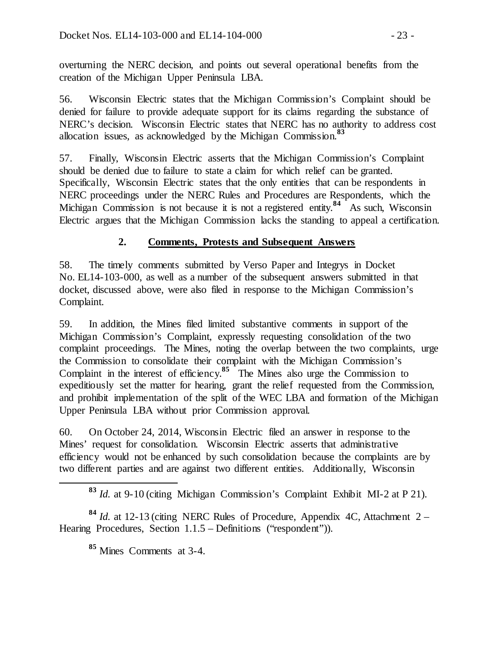overturning the NERC decision, and points out several operational benefits from the creation of the Michigan Upper Peninsula LBA.

56. Wisconsin Electric states that the Michigan Commission's Complaint should be denied for failure to provide adequate support for its claims regarding the substance of NERC's decision. Wisconsin Electric states that NERC has no authority to address cost allocation issues, as acknowledged by the Michigan Commission.**<sup>83</sup>**

57. Finally, Wisconsin Electric asserts that the Michigan Commission's Complaint should be denied due to failure to state a claim for which relief can be granted. Specifically, Wisconsin Electric states that the only entities that can be respondents in NERC proceedings under the NERC Rules and Procedures are Respondents, which the Michigan Commission is not because it is not a registered entity.<sup>84</sup> As such, Wisconsin Electric argues that the Michigan Commission lacks the standing to appeal a certification.

## **2. Comments, Protests and Subsequent Answers**

58. The timely comments submitted by Verso Paper and Integrys in Docket No. EL14-103-000, as well as a number of the subsequent answers submitted in that docket, discussed above, were also filed in response to the Michigan Commission's Complaint.

59. In addition, the Mines filed limited substantive comments in support of the Michigan Commission's Complaint, expressly requesting consolidation of the two complaint proceedings. The Mines, noting the overlap between the two complaints, urge the Commission to consolidate their complaint with the Michigan Commission's Complaint in the interest of efficiency.**<sup>85</sup>** The Mines also urge the Commission to expeditiously set the matter for hearing, grant the relief requested from the Commission, and prohibit implementation of the split of the WEC LBA and formation of the Michigan Upper Peninsula LBA without prior Commission approval.

60. On October 24, 2014, Wisconsin Electric filed an answer in response to the Mines' request for consolidation. Wisconsin Electric asserts that administrative efficiency would not be enhanced by such consolidation because the complaints are by two different parties and are against two different entities. Additionally, Wisconsin

**<sup>84</sup>** *Id.* at 12-13 (citing NERC Rules of Procedure, Appendix 4C, Attachment 2 – Hearing Procedures, Section 1.1.5 – Definitions ("respondent")).

**<sup>85</sup>** Mines Comments at 3-4.

**<sup>83</sup>** *Id.* at 9-10 (citing Michigan Commission's Complaint Exhibit MI-2 at P 21).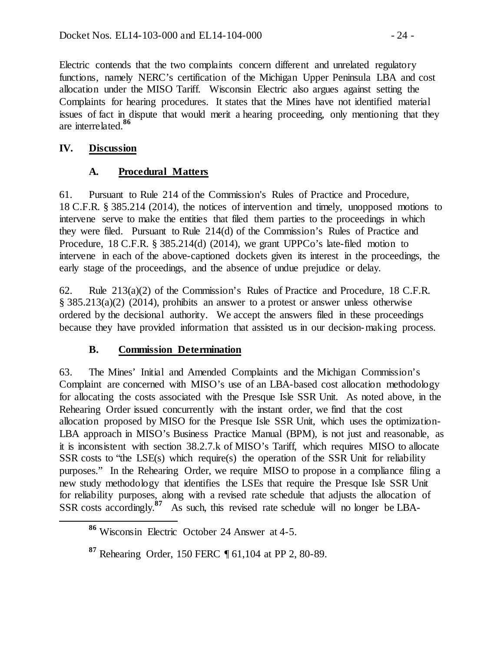Electric contends that the two complaints concern different and unrelated regulatory functions, namely NERC's certification of the Michigan Upper Peninsula LBA and cost allocation under the MISO Tariff. Wisconsin Electric also argues against setting the Complaints for hearing procedures. It states that the Mines have not identified material issues of fact in dispute that would merit a hearing proceeding, only mentioning that they are interrelated.**<sup>86</sup>**

## **IV. Discussion**

## **A. Procedural Matters**

61. Pursuant to Rule 214 of the Commission's Rules of Practice and Procedure, 18 C.F.R. § 385.214 (2014), the notices of intervention and timely, unopposed motions to intervene serve to make the entities that filed them parties to the proceedings in which they were filed. Pursuant to Rule 214(d) of the Commission's Rules of Practice and Procedure, 18 C.F.R. § 385.214(d) (2014), we grant UPPCo's late-filed motion to intervene in each of the above-captioned dockets given its interest in the proceedings, the early stage of the proceedings, and the absence of undue prejudice or delay.

62. Rule 213(a)(2) of the Commission's Rules of Practice and Procedure, 18 C.F.R. § 385.213(a)(2) (2014), prohibits an answer to a protest or answer unless otherwise ordered by the decisional authority. We accept the answers filed in these proceedings because they have provided information that assisted us in our decision-making process.

## **B. Commission Determination**

63. The Mines' Initial and Amended Complaints and the Michigan Commission's Complaint are concerned with MISO's use of an LBA-based cost allocation methodology for allocating the costs associated with the Presque Isle SSR Unit. As noted above, in the Rehearing Order issued concurrently with the instant order, we find that the cost allocation proposed by MISO for the Presque Isle SSR Unit, which uses the optimization-LBA approach in MISO's Business Practice Manual (BPM), is not just and reasonable, as it is inconsistent with section 38.2.7.k of MISO's Tariff, which requires MISO to allocate SSR costs to "the LSE(s) which require(s) the operation of the SSR Unit for reliability purposes." In the Rehearing Order, we require MISO to propose in a compliance filing a new study methodology that identifies the LSEs that require the Presque Isle SSR Unit for reliability purposes, along with a revised rate schedule that adjusts the allocation of SSR costs accordingly.**<sup>87</sup>** As such, this revised rate schedule will no longer be LBA-

**<sup>86</sup>** Wisconsin Electric October 24 Answer at 4-5.

**<sup>87</sup>** Rehearing Order, 150 FERC ¶ 61,104 at PP 2, 80-89.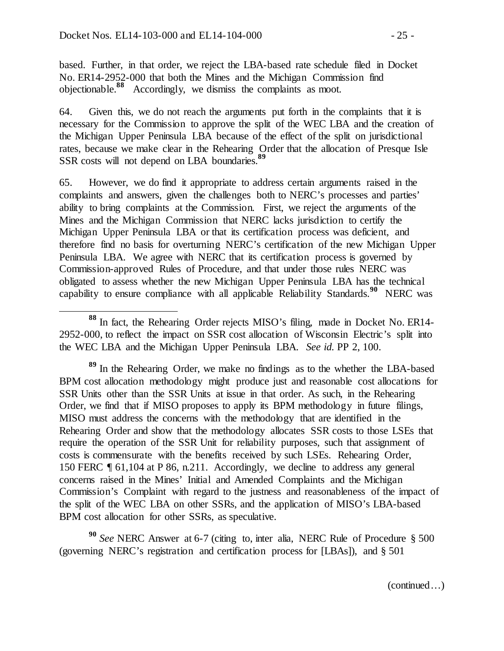based. Further, in that order, we reject the LBA-based rate schedule filed in Docket No. ER14-2952-000 that both the Mines and the Michigan Commission find objectionable.**<sup>88</sup>** Accordingly, we dismiss the complaints as moot.

64. Given this, we do not reach the arguments put forth in the complaints that it is necessary for the Commission to approve the split of the WEC LBA and the creation of the Michigan Upper Peninsula LBA because of the effect of the split on jurisdictional rates, because we make clear in the Rehearing Order that the allocation of Presque Isle SSR costs will not depend on LBA boundaries.**<sup>89</sup>**

65. However, we do find it appropriate to address certain arguments raised in the complaints and answers, given the challenges both to NERC's processes and parties' ability to bring complaints at the Commission. First, we reject the arguments of the Mines and the Michigan Commission that NERC lacks jurisdiction to certify the Michigan Upper Peninsula LBA or that its certification process was deficient, and therefore find no basis for overturning NERC's certification of the new Michigan Upper Peninsula LBA. We agree with NERC that its certification process is governed by Commission-approved Rules of Procedure, and that under those rules NERC was obligated to assess whether the new Michigan Upper Peninsula LBA has the technical capability to ensure compliance with all applicable Reliability Standards.**<sup>90</sup>** NERC was

**<sup>89</sup>** In the Rehearing Order, we make no findings as to the whether the LBA-based BPM cost allocation methodology might produce just and reasonable cost allocations for SSR Units other than the SSR Units at issue in that order. As such, in the Rehearing Order, we find that if MISO proposes to apply its BPM methodology in future filings, MISO must address the concerns with the methodology that are identified in the Rehearing Order and show that the methodology allocates SSR costs to those LSEs that require the operation of the SSR Unit for reliability purposes, such that assignment of costs is commensurate with the benefits received by such LSEs. Rehearing Order, 150 FERC ¶ 61,104 at P 86, n.211. Accordingly, we decline to address any general concerns raised in the Mines' Initial and Amended Complaints and the Michigan Commission's Complaint with regard to the justness and reasonableness of the impact of the split of the WEC LBA on other SSRs, and the application of MISO's LBA-based BPM cost allocation for other SSRs, as speculative.

**<sup>90</sup>** *See* NERC Answer at 6-7 (citing to, inter alia, NERC Rule of Procedure § 500 (governing NERC's registration and certification process for [LBAs]), and § 501

**<sup>88</sup>** In fact, the Rehearing Order rejects MISO's filing, made in Docket No. ER14- 2952-000, to reflect the impact on SSR cost allocation of Wisconsin Electric's split into the WEC LBA and the Michigan Upper Peninsula LBA. *See id.* PP 2, 100.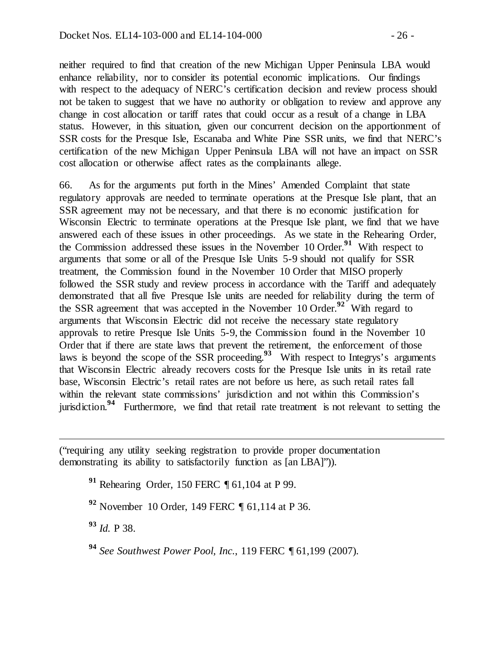neither required to find that creation of the new Michigan Upper Peninsula LBA would enhance reliability, nor to consider its potential economic implications. Our findings with respect to the adequacy of NERC's certification decision and review process should not be taken to suggest that we have no authority or obligation to review and approve any change in cost allocation or tariff rates that could occur as a result of a change in LBA status. However, in this situation, given our concurrent decision on the apportionment of SSR costs for the Presque Isle, Escanaba and White Pine SSR units, we find that NERC's certification of the new Michigan Upper Peninsula LBA will not have an impact on SSR cost allocation or otherwise affect rates as the complainants allege.

66. As for the arguments put forth in the Mines' Amended Complaint that state regulatory approvals are needed to terminate operations at the Presque Isle plant, that an SSR agreement may not be necessary, and that there is no economic justification for Wisconsin Electric to terminate operations at the Presque Isle plant, we find that we have answered each of these issues in other proceedings. As we state in the Rehearing Order, the Commission addressed these issues in the November 10 Order.**<sup>91</sup>** With respect to arguments that some or all of the Presque Isle Units 5-9 should not qualify for SSR treatment, the Commission found in the November 10 Order that MISO properly followed the SSR study and review process in accordance with the Tariff and adequately demonstrated that all five Presque Isle units are needed for reliability during the term of the SSR agreement that was accepted in the November 10 Order.**<sup>92</sup>** With regard to arguments that Wisconsin Electric did not receive the necessary state regulatory approvals to retire Presque Isle Units 5-9, the Commission found in the November 10 Order that if there are state laws that prevent the retirement, the enforcement of those laws is beyond the scope of the SSR proceeding.<sup>93</sup> With respect to Integrys's arguments that Wisconsin Electric already recovers costs for the Presque Isle units in its retail rate base, Wisconsin Electric's retail rates are not before us here, as such retail rates fall within the relevant state commissions' jurisdiction and not within this Commission's jurisdiction.**<sup>94</sup>** Furthermore, we find that retail rate treatment is not relevant to setting the

("requiring any utility seeking registration to provide proper documentation demonstrating its ability to satisfactorily function as [an LBA]")).

**<sup>91</sup>** Rehearing Order, 150 FERC ¶ 61,104 at P 99.

**<sup>92</sup>** November 10 Order, 149 FERC ¶ 61,114 at P 36.

**<sup>93</sup>** *Id.* P 38.

 $\overline{a}$ 

**<sup>94</sup>** *See Southwest Power Pool, Inc.*, 119 FERC ¶ 61,199 (2007).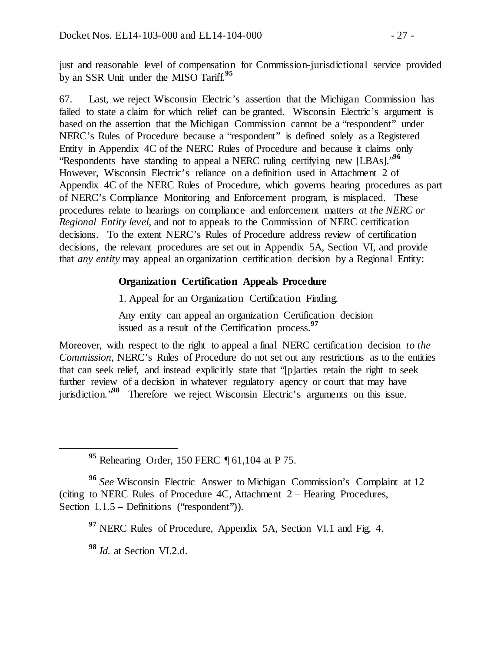just and reasonable level of compensation for Commission-jurisdictional service provided by an SSR Unit under the MISO Tariff.**<sup>95</sup>**

67. Last, we reject Wisconsin Electric's assertion that the Michigan Commission has failed to state a claim for which relief can be granted. Wisconsin Electric's argument is based on the assertion that the Michigan Commission cannot be a "respondent" under NERC's Rules of Procedure because a "respondent" is defined solely as a Registered Entity in Appendix 4C of the NERC Rules of Procedure and because it claims only "Respondents have standing to appeal a NERC ruling certifying new [LBAs]."**<sup>96</sup>** However, Wisconsin Electric's reliance on a definition used in Attachment 2 of Appendix 4C of the NERC Rules of Procedure, which governs hearing procedures as part of NERC's Compliance Monitoring and Enforcement program, is misplaced. These procedures relate to hearings on compliance and enforcement matters *at the NERC or Regional Entity level*, and not to appeals to the Commission of NERC certification decisions. To the extent NERC's Rules of Procedure address review of certification decisions, the relevant procedures are set out in Appendix 5A, Section VI, and provide that *any entity* may appeal an organization certification decision by a Regional Entity:

### **Organization Certification Appeals Procedure**

1. Appeal for an Organization Certification Finding.

Any entity can appeal an organization Certification decision issued as a result of the Certification process.**<sup>97</sup>**

Moreover, with respect to the right to appeal a final NERC certification decision *to the Commission*, NERC's Rules of Procedure do not set out any restrictions as to the entities that can seek relief, and instead explicitly state that "[p]arties retain the right to seek further review of a decision in whatever regulatory agency or court that may have jurisdiction."<sup>98</sup> Therefore we reject Wisconsin Electric's arguments on this issue.

**<sup>95</sup>** Rehearing Order, 150 FERC ¶ 61,104 at P 75.

**<sup>96</sup>** *See* Wisconsin Electric Answer to Michigan Commission's Complaint at 12 (citing to NERC Rules of Procedure 4C, Attachment 2 – Hearing Procedures, Section  $1.1.5$  – Definitions ("respondent")).

**<sup>97</sup>** NERC Rules of Procedure, Appendix 5A, Section VI.1 and Fig. 4.

**<sup>98</sup>** *Id.* at Section VI.2.d.